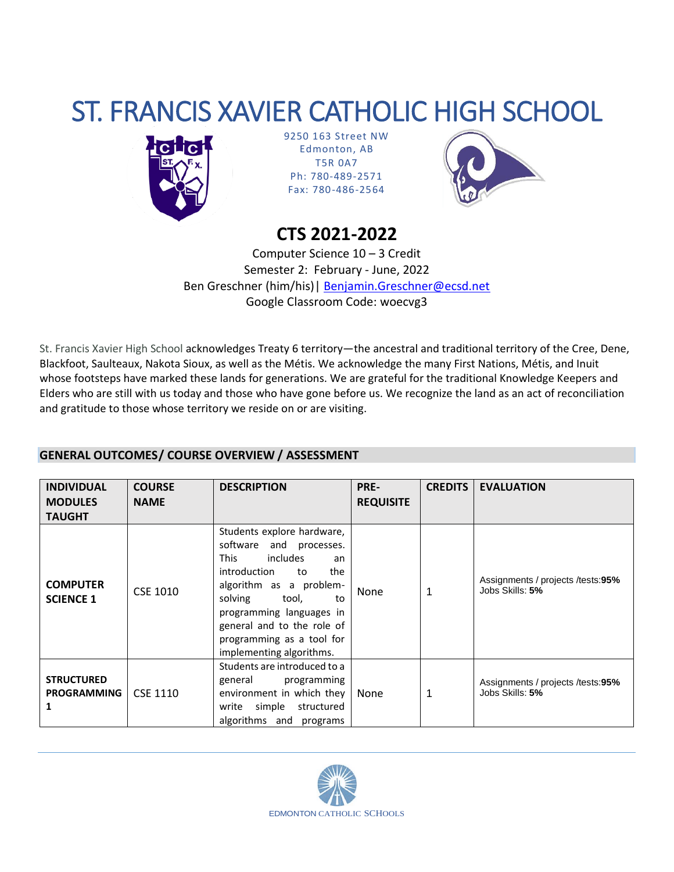# ST. FRANCIS XAVIER CATHOLIC HIGH SCHOOL



9250 163 Street NW Edmonton, AB T5R 0A7 Ph: 780-489-2571 Fax: 780-486-2564



## **CTS 2021-2022**

Computer Science 10 – 3 Credit Semester 2: February - June, 2022 Ben Greschner (him/his)| [Benjamin.Greschner@ecsd.net](mailto:Benjamin.Greschner@ecsd.net) Google Classroom Code: woecvg3

St. Francis Xavier High School acknowledges Treaty 6 territory—the ancestral and traditional territory of the Cree, Dene, Blackfoot, Saulteaux, Nakota Sioux, as well as the Métis. We acknowledge the many First Nations, Métis, and Inuit whose footsteps have marked these lands for generations. We are grateful for the traditional Knowledge Keepers and Elders who are still with us today and those who have gone before us. We recognize the land as an act of reconciliation and gratitude to those whose territory we reside on or are visiting.

### **GENERAL OUTCOMES/ COURSE OVERVIEW / ASSESSMENT**

| <b>INDIVIDUAL</b><br><b>MODULES</b><br><b>TAUGHT</b> | <b>COURSE</b><br><b>NAME</b> | <b>DESCRIPTION</b>                                                                                                                                                                                                                                                                          | PRE-<br><b>REQUISITE</b> | <b>CREDITS</b> | <b>EVALUATION</b>                                      |
|------------------------------------------------------|------------------------------|---------------------------------------------------------------------------------------------------------------------------------------------------------------------------------------------------------------------------------------------------------------------------------------------|--------------------------|----------------|--------------------------------------------------------|
| <b>COMPUTER</b><br><b>SCIENCE 1</b>                  | CSE 1010                     | Students explore hardware,<br>software and processes.<br>includes<br><b>This</b><br>an<br>introduction<br>the<br>to<br>algorithm as a problem-<br>solving<br>tool,<br>to<br>programming languages in<br>general and to the role of<br>programming as a tool for<br>implementing algorithms. | <b>None</b>              |                | Assignments / projects / tests:95%<br>Jobs Skills: 5%  |
| <b>STRUCTURED</b><br><b>PROGRAMMING</b>              | CSE 1110                     | Students are introduced to a<br>general<br>programming<br>environment in which they<br>simple<br>write<br>structured<br>algorithms and programs                                                                                                                                             | None                     |                | Assignments / projects / tests: 95%<br>Jobs Skills: 5% |

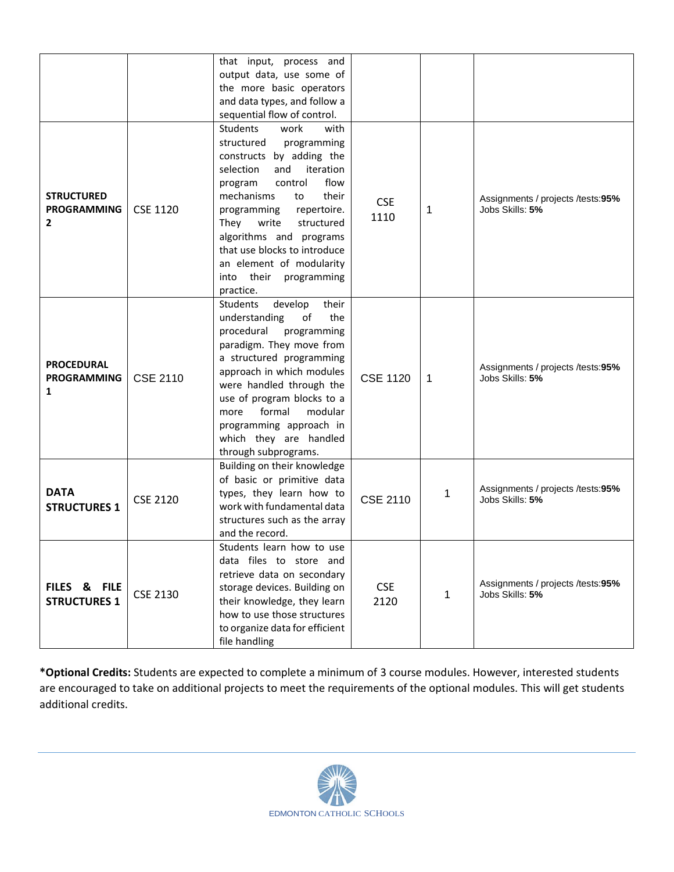|                                                         |                 | that input, process and<br>output data, use some of<br>the more basic operators<br>and data types, and follow a<br>sequential flow of control.                                                                                                                                                                                                                                 |                    |   |                                                      |
|---------------------------------------------------------|-----------------|--------------------------------------------------------------------------------------------------------------------------------------------------------------------------------------------------------------------------------------------------------------------------------------------------------------------------------------------------------------------------------|--------------------|---|------------------------------------------------------|
| <b>STRUCTURED</b><br><b>PROGRAMMING</b><br>$\mathbf{2}$ | <b>CSE 1120</b> | Students<br>work<br>with<br>structured<br>programming<br>constructs by adding the<br>iteration<br>selection<br>and<br>flow<br>control<br>program<br>mechanisms<br>their<br>to<br>programming<br>repertoire.<br>They<br>write<br>structured<br>algorithms and programs<br>that use blocks to introduce<br>an element of modularity<br>their<br>programming<br>into<br>practice. | <b>CSE</b><br>1110 | 1 | Assignments / projects /tests:95%<br>Jobs Skills: 5% |
| <b>PROCEDURAL</b><br><b>PROGRAMMING</b><br>1            | <b>CSE 2110</b> | develop<br><b>Students</b><br>their<br>understanding<br>of<br>the<br>procedural<br>programming<br>paradigm. They move from<br>a structured programming<br>approach in which modules<br>were handled through the<br>use of program blocks to a<br>formal<br>modular<br>more<br>programming approach in<br>which they are handled<br>through subprograms.                        | <b>CSE 1120</b>    | 1 | Assignments / projects /tests:95%<br>Jobs Skills: 5% |
| <b>DATA</b><br><b>STRUCTURES 1</b>                      | <b>CSE 2120</b> | Building on their knowledge<br>of basic or primitive data<br>types, they learn how to<br>work with fundamental data<br>structures such as the array<br>and the record.                                                                                                                                                                                                         | <b>CSE 2110</b>    | 1 | Assignments / projects /tests:95%<br>Jobs Skills: 5% |
| FILES & FILE<br><b>STRUCTURES 1</b>                     | <b>CSE 2130</b> | Students learn how to use<br>data files to store and<br>retrieve data on secondary<br>storage devices. Building on<br>their knowledge, they learn<br>how to use those structures<br>to organize data for efficient<br>file handling                                                                                                                                            | <b>CSE</b><br>2120 | 1 | Assignments / projects /tests:95%<br>Jobs Skills: 5% |

**\*Optional Credits:** Students are expected to complete a minimum of 3 course modules. However, interested students are encouraged to take on additional projects to meet the requirements of the optional modules. This will get students additional credits.

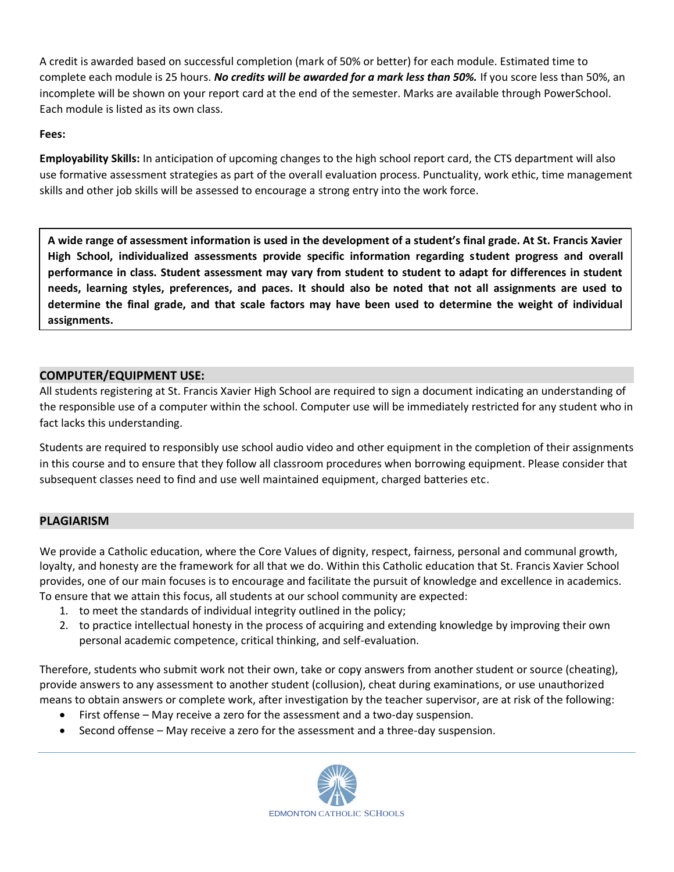A credit is awarded based on successful completion (mark of 50% or better) for each module. Estimated time to complete each module is 25 hours. *No credits will be awarded for a mark less than 50%.* If you score less than 50%, an incomplete will be shown on your report card at the end of the semester. Marks are available through PowerSchool. Each module is listed as its own class.

#### **Fees:**

**Employability Skills:** In anticipation of upcoming changes to the high school report card, the CTS department will also use formative assessment strategies as part of the overall evaluation process. Punctuality, work ethic, time management skills and other job skills will be assessed to encourage a strong entry into the work force.

**A wide range of assessment information is used in the development of a student's final grade. At St. Francis Xavier High School, individualized assessments provide specific information regarding student progress and overall performance in class. Student assessment may vary from student to student to adapt for differences in student needs, learning styles, preferences, and paces. It should also be noted that not all assignments are used to determine the final grade, and that scale factors may have been used to determine the weight of individual assignments.**

#### **COMPUTER/EQUIPMENT USE:**

All students registering at St. Francis Xavier High School are required to sign a document indicating an understanding of the responsible use of a computer within the school. Computer use will be immediately restricted for any student who in fact lacks this understanding.

Students are required to responsibly use school audio video and other equipment in the completion of their assignments in this course and to ensure that they follow all classroom procedures when borrowing equipment. Please consider that subsequent classes need to find and use well maintained equipment, charged batteries etc.

#### **PLAGIARISM**

We provide a Catholic education, where the Core Values of dignity, respect, fairness, personal and communal growth, loyalty, and honesty are the framework for all that we do. Within this Catholic education that St. Francis Xavier School provides, one of our main focuses is to encourage and facilitate the pursuit of knowledge and excellence in academics. To ensure that we attain this focus, all students at our school community are expected:

- 1. to meet the standards of individual integrity outlined in the policy;
- 2. to practice intellectual honesty in the process of acquiring and extending knowledge by improving their own personal academic competence, critical thinking, and self-evaluation.

Therefore, students who submit work not their own, take or copy answers from another student or source (cheating), provide answers to any assessment to another student (collusion), cheat during examinations, or use unauthorized means to obtain answers or complete work, after investigation by the teacher supervisor, are at risk of the following:

- First offense May receive a zero for the assessment and a two-day suspension.
- Second offense May receive a zero for the assessment and a three-day suspension.